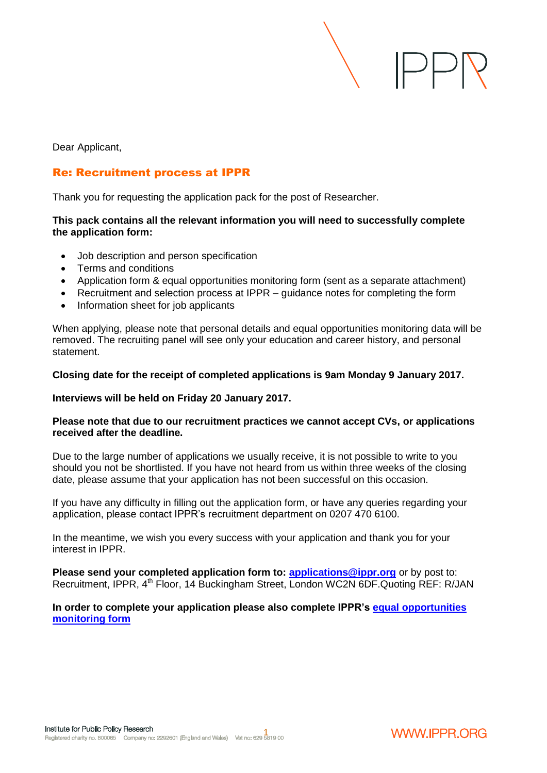$\mathrel{\Vdash}\mathrel{\vdash}$ 

Dear Applicant,

# Re: Recruitment process at IPPR

Thank you for requesting the application pack for the post of Researcher.

#### **This pack contains all the relevant information you will need to successfully complete the application form:**

- Job description and person specification
- Terms and conditions
- Application form & equal opportunities monitoring form (sent as a separate attachment)
- Recruitment and selection process at IPPR guidance notes for completing the form
- Information sheet for job applicants

When applying, please note that personal details and equal opportunities monitoring data will be removed. The recruiting panel will see only your education and career history, and personal statement.

#### **Closing date for the receipt of completed applications is 9am Monday 9 January 2017.**

#### **Interviews will be held on Friday 20 January 2017.**

#### **Please note that due to our recruitment practices we cannot accept CVs, or applications received after the deadline.**

Due to the large number of applications we usually receive, it is not possible to write to you should you not be shortlisted. If you have not heard from us within three weeks of the closing date, please assume that your application has not been successful on this occasion.

If you have any difficulty in filling out the application form, or have any queries regarding your application, please contact IPPR's recruitment department on 0207 470 6100.

In the meantime, we wish you every success with your application and thank you for your interest in IPPR.

**Please send your completed application form to: [applications@ippr.org](mailto:applications@ippr.org)** or by post to: Recruitment, IPPR, 4<sup>th</sup> Floor, 14 Buckingham Street, London WC2N 6DF.Quoting REF: R/JAN

### **In order to complete your application please also complete IPPR's [equal opportunities](https://docs.google.com/forms/d/1Xklpi73urIT0SoBaZqqcV0HQyOWR_AEhuo23JJbWgpo/viewform)  [monitoring form](https://docs.google.com/forms/d/1Xklpi73urIT0SoBaZqqcV0HQyOWR_AEhuo23JJbWgpo/viewform)**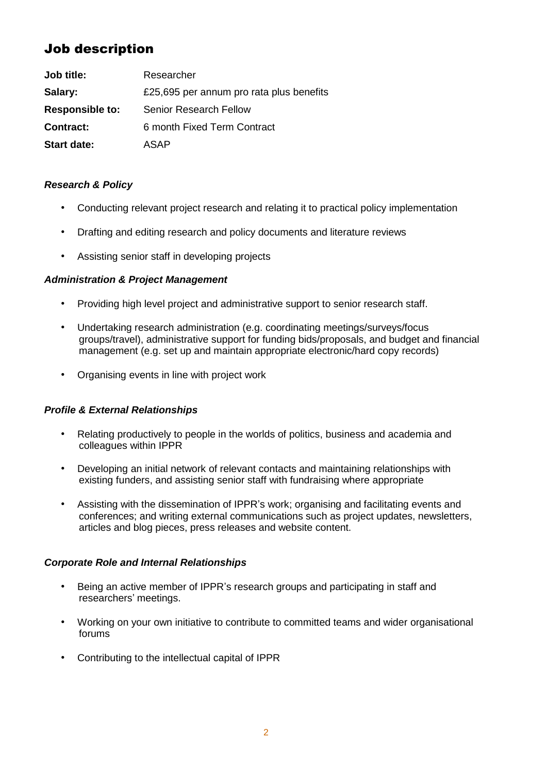# Job description

| Job title:             | Researcher                               |
|------------------------|------------------------------------------|
| Salary:                | £25,695 per annum pro rata plus benefits |
| <b>Responsible to:</b> | <b>Senior Research Fellow</b>            |
| <b>Contract:</b>       | 6 month Fixed Term Contract              |
| <b>Start date:</b>     | ASAP                                     |

## *Research & Policy*

- Conducting relevant project research and relating it to practical policy implementation
- Drafting and editing research and policy documents and literature reviews
- Assisting senior staff in developing projects

## *Administration & Project Management*

- Providing high level project and administrative support to senior research staff.
- Undertaking research administration (e.g. coordinating meetings/surveys/focus groups/travel), administrative support for funding bids/proposals, and budget and financial management (e.g. set up and maintain appropriate electronic/hard copy records)
- Organising events in line with project work

## *Profile & External Relationships*

- Relating productively to people in the worlds of politics, business and academia and colleagues within IPPR
- Developing an initial network of relevant contacts and maintaining relationships with existing funders, and assisting senior staff with fundraising where appropriate
- Assisting with the dissemination of IPPR's work; organising and facilitating events and conferences; and writing external communications such as project updates, newsletters, articles and blog pieces, press releases and website content.

## *Corporate Role and Internal Relationships*

- Being an active member of IPPR's research groups and participating in staff and researchers' meetings.
- Working on your own initiative to contribute to committed teams and wider organisational forums
- Contributing to the intellectual capital of IPPR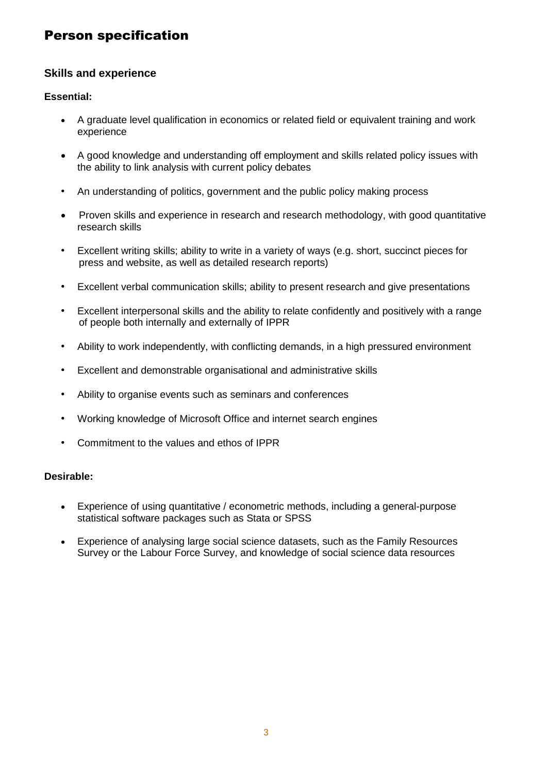# Person specification

# **Skills and experience**

### **Essential:**

- A graduate level qualification in economics or related field or equivalent training and work experience
- A good knowledge and understanding off employment and skills related policy issues with the ability to link analysis with current policy debates
- An understanding of politics, government and the public policy making process
- Proven skills and experience in research and research methodology, with good quantitative research skills
- Excellent writing skills; ability to write in a variety of ways (e.g. short, succinct pieces for press and website, as well as detailed research reports)
- Excellent verbal communication skills; ability to present research and give presentations
- Excellent interpersonal skills and the ability to relate confidently and positively with a range of people both internally and externally of IPPR
- Ability to work independently, with conflicting demands, in a high pressured environment
- Excellent and demonstrable organisational and administrative skills
- Ability to organise events such as seminars and conferences
- Working knowledge of Microsoft Office and internet search engines
- Commitment to the values and ethos of IPPR

### **Desirable:**

- Experience of using quantitative / econometric methods, including a general-purpose statistical software packages such as Stata or SPSS
- Experience of analysing large social science datasets, such as the Family Resources Survey or the Labour Force Survey, and knowledge of social science data resources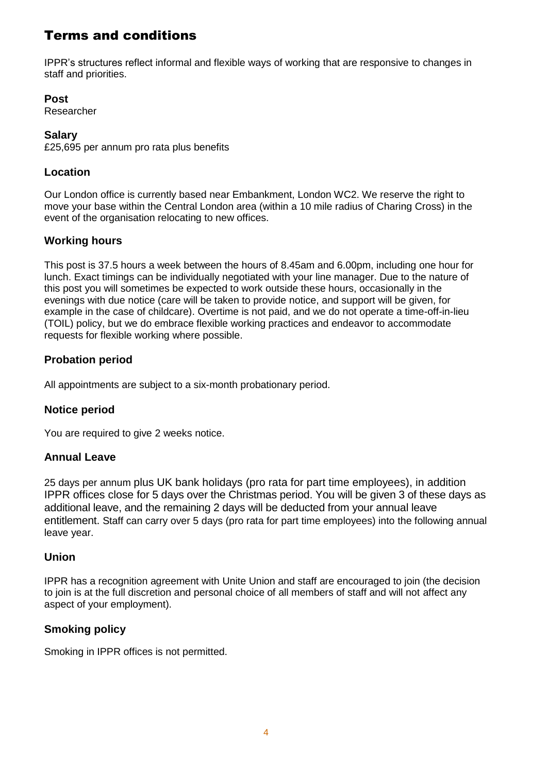# Terms and conditions

IPPR's structures reflect informal and flexible ways of working that are responsive to changes in staff and priorities.

**Post**

Researcher

## **Salary**

£25,695 per annum pro rata plus benefits

# **Location**

Our London office is currently based near Embankment, London WC2. We reserve the right to move your base within the Central London area (within a 10 mile radius of Charing Cross) in the event of the organisation relocating to new offices.

# **Working hours**

This post is 37.5 hours a week between the hours of 8.45am and 6.00pm, including one hour for lunch. Exact timings can be individually negotiated with your line manager. Due to the nature of this post you will sometimes be expected to work outside these hours, occasionally in the evenings with due notice (care will be taken to provide notice, and support will be given, for example in the case of childcare). Overtime is not paid, and we do not operate a time-off-in-lieu (TOIL) policy, but we do embrace flexible working practices and endeavor to accommodate requests for flexible working where possible.

# **Probation period**

All appointments are subject to a six-month probationary period.

# **Notice period**

You are required to give 2 weeks notice.

# **Annual Leave**

25 days per annum plus UK bank holidays (pro rata for part time employees), in addition IPPR offices close for 5 days over the Christmas period. You will be given 3 of these days as additional leave, and the remaining 2 days will be deducted from your annual leave entitlement. Staff can carry over 5 days (pro rata for part time employees) into the following annual leave year.

## **Union**

IPPR has a recognition agreement with Unite Union and staff are encouraged to join (the decision to join is at the full discretion and personal choice of all members of staff and will not affect any aspect of your employment).

# **Smoking policy**

Smoking in IPPR offices is not permitted.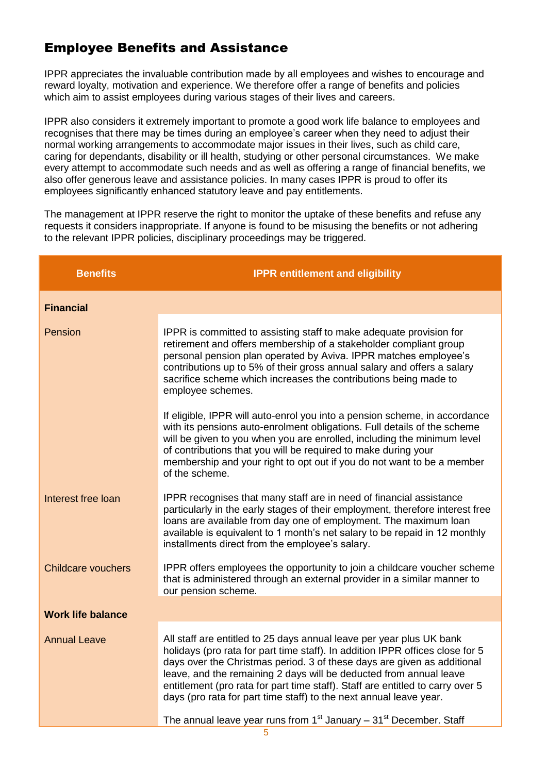# Employee Benefits and Assistance

IPPR appreciates the invaluable contribution made by all employees and wishes to encourage and reward loyalty, motivation and experience. We therefore offer a range of benefits and policies which aim to assist employees during various stages of their lives and careers.

IPPR also considers it extremely important to promote a good work life balance to employees and recognises that there may be times during an employee's career when they need to adjust their normal working arrangements to accommodate major issues in their lives, such as child care, caring for dependants, disability or ill health, studying or other personal circumstances. We make every attempt to accommodate such needs and as well as offering a range of financial benefits, we also offer generous leave and assistance policies. In many cases IPPR is proud to offer its employees significantly enhanced statutory leave and pay entitlements.

The management at IPPR reserve the right to monitor the uptake of these benefits and refuse any requests it considers inappropriate. If anyone is found to be misusing the benefits or not adhering to the relevant IPPR policies, disciplinary proceedings may be triggered.

| <b>Benefits</b>           | <b>IPPR entitlement and eligibility</b>                                                                                                                                                                                                                                                                                                                                                                                                                                                                                                  |
|---------------------------|------------------------------------------------------------------------------------------------------------------------------------------------------------------------------------------------------------------------------------------------------------------------------------------------------------------------------------------------------------------------------------------------------------------------------------------------------------------------------------------------------------------------------------------|
| <b>Financial</b>          |                                                                                                                                                                                                                                                                                                                                                                                                                                                                                                                                          |
| Pension                   | IPPR is committed to assisting staff to make adequate provision for<br>retirement and offers membership of a stakeholder compliant group<br>personal pension plan operated by Aviva. IPPR matches employee's<br>contributions up to 5% of their gross annual salary and offers a salary<br>sacrifice scheme which increases the contributions being made to<br>employee schemes.                                                                                                                                                         |
|                           | If eligible, IPPR will auto-enrol you into a pension scheme, in accordance<br>with its pensions auto-enrolment obligations. Full details of the scheme<br>will be given to you when you are enrolled, including the minimum level<br>of contributions that you will be required to make during your<br>membership and your right to opt out if you do not want to be a member<br>of the scheme.                                                                                                                                          |
| Interest free loan        | IPPR recognises that many staff are in need of financial assistance<br>particularly in the early stages of their employment, therefore interest free<br>loans are available from day one of employment. The maximum loan<br>available is equivalent to 1 month's net salary to be repaid in 12 monthly<br>installments direct from the employee's salary.                                                                                                                                                                                |
| <b>Childcare vouchers</b> | IPPR offers employees the opportunity to join a childcare voucher scheme<br>that is administered through an external provider in a similar manner to<br>our pension scheme.                                                                                                                                                                                                                                                                                                                                                              |
| <b>Work life balance</b>  |                                                                                                                                                                                                                                                                                                                                                                                                                                                                                                                                          |
| <b>Annual Leave</b>       | All staff are entitled to 25 days annual leave per year plus UK bank<br>holidays (pro rata for part time staff). In addition IPPR offices close for 5<br>days over the Christmas period. 3 of these days are given as additional<br>leave, and the remaining 2 days will be deducted from annual leave<br>entitlement (pro rata for part time staff). Staff are entitled to carry over 5<br>days (pro rata for part time staff) to the next annual leave year.<br>The annual leave year runs from $1st$ January – $31st$ December. Staff |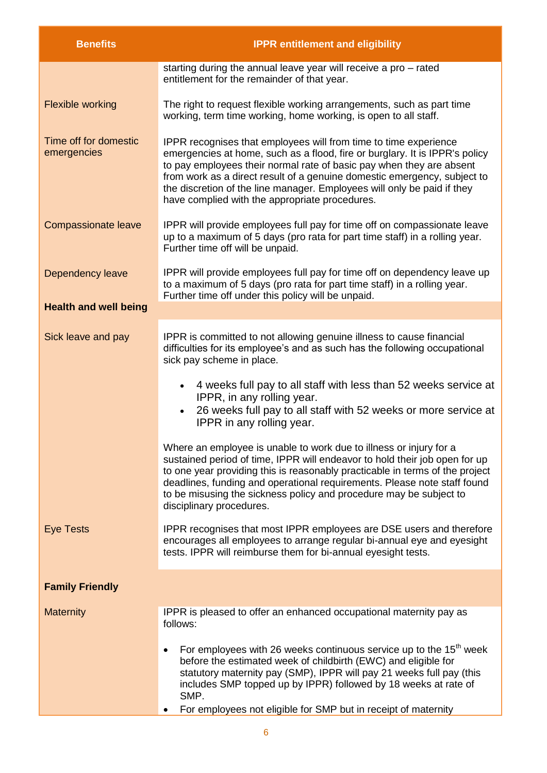| <b>Benefits</b>                      | <b>IPPR entitlement and eligibility</b>                                                                                                                                                                                                                                                                                                                                                                                          |
|--------------------------------------|----------------------------------------------------------------------------------------------------------------------------------------------------------------------------------------------------------------------------------------------------------------------------------------------------------------------------------------------------------------------------------------------------------------------------------|
|                                      | starting during the annual leave year will receive a pro - rated<br>entitlement for the remainder of that year.                                                                                                                                                                                                                                                                                                                  |
| <b>Flexible working</b>              | The right to request flexible working arrangements, such as part time<br>working, term time working, home working, is open to all staff.                                                                                                                                                                                                                                                                                         |
| Time off for domestic<br>emergencies | IPPR recognises that employees will from time to time experience<br>emergencies at home, such as a flood, fire or burglary. It is IPPR's policy<br>to pay employees their normal rate of basic pay when they are absent<br>from work as a direct result of a genuine domestic emergency, subject to<br>the discretion of the line manager. Employees will only be paid if they<br>have complied with the appropriate procedures. |
| <b>Compassionate leave</b>           | IPPR will provide employees full pay for time off on compassionate leave<br>up to a maximum of 5 days (pro rata for part time staff) in a rolling year.<br>Further time off will be unpaid.                                                                                                                                                                                                                                      |
| <b>Dependency leave</b>              | IPPR will provide employees full pay for time off on dependency leave up<br>to a maximum of 5 days (pro rata for part time staff) in a rolling year.<br>Further time off under this policy will be unpaid.                                                                                                                                                                                                                       |
| <b>Health and well being</b>         |                                                                                                                                                                                                                                                                                                                                                                                                                                  |
| Sick leave and pay                   | IPPR is committed to not allowing genuine illness to cause financial<br>difficulties for its employee's and as such has the following occupational<br>sick pay scheme in place.                                                                                                                                                                                                                                                  |
|                                      | • 4 weeks full pay to all staff with less than 52 weeks service at<br>IPPR, in any rolling year.<br>26 weeks full pay to all staff with 52 weeks or more service at<br>IPPR in any rolling year.                                                                                                                                                                                                                                 |
|                                      | Where an employee is unable to work due to illness or injury for a<br>sustained period of time, IPPR will endeavor to hold their job open for up<br>to one year providing this is reasonably practicable in terms of the project<br>deadlines, funding and operational requirements. Please note staff found<br>to be misusing the sickness policy and procedure may be subject to<br>disciplinary procedures.                   |
| <b>Eye Tests</b>                     | IPPR recognises that most IPPR employees are DSE users and therefore<br>encourages all employees to arrange regular bi-annual eye and eyesight<br>tests. IPPR will reimburse them for bi-annual eyesight tests.                                                                                                                                                                                                                  |
| <b>Family Friendly</b>               |                                                                                                                                                                                                                                                                                                                                                                                                                                  |
| <b>Maternity</b>                     | IPPR is pleased to offer an enhanced occupational maternity pay as<br>follows:                                                                                                                                                                                                                                                                                                                                                   |
|                                      | For employees with 26 weeks continuous service up to the 15 <sup>th</sup> week<br>$\bullet$<br>before the estimated week of childbirth (EWC) and eligible for<br>statutory maternity pay (SMP), IPPR will pay 21 weeks full pay (this<br>includes SMP topped up by IPPR) followed by 18 weeks at rate of<br>SMP.                                                                                                                 |
|                                      | For employees not eligible for SMP but in receipt of maternity                                                                                                                                                                                                                                                                                                                                                                   |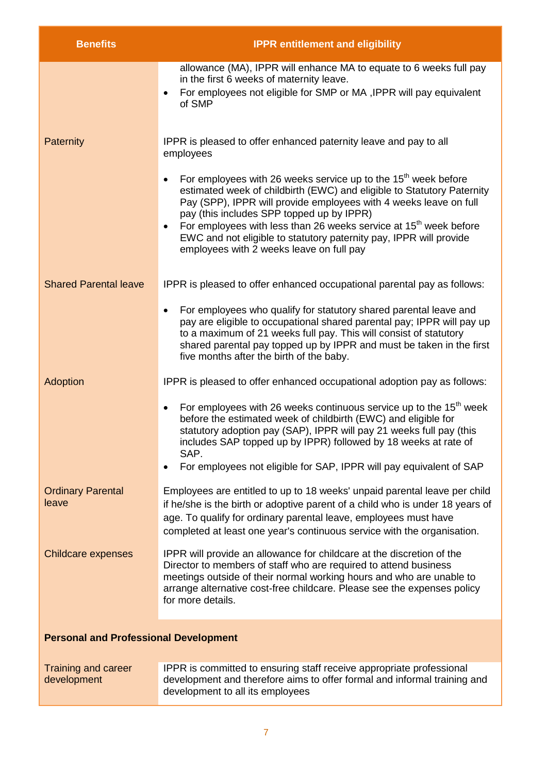| <b>Benefits</b>                              | <b>IPPR entitlement and eligibility</b>                                                                                                                                                                                                                                                                                                                                                                                                                                   |  |
|----------------------------------------------|---------------------------------------------------------------------------------------------------------------------------------------------------------------------------------------------------------------------------------------------------------------------------------------------------------------------------------------------------------------------------------------------------------------------------------------------------------------------------|--|
|                                              | allowance (MA), IPPR will enhance MA to equate to 6 weeks full pay<br>in the first 6 weeks of maternity leave.<br>For employees not eligible for SMP or MA, IPPR will pay equivalent<br>of SMP                                                                                                                                                                                                                                                                            |  |
| Paternity                                    | IPPR is pleased to offer enhanced paternity leave and pay to all<br>employees                                                                                                                                                                                                                                                                                                                                                                                             |  |
|                                              | For employees with 26 weeks service up to the 15 <sup>th</sup> week before<br>estimated week of childbirth (EWC) and eligible to Statutory Paternity<br>Pay (SPP), IPPR will provide employees with 4 weeks leave on full<br>pay (this includes SPP topped up by IPPR)<br>For employees with less than 26 weeks service at 15 <sup>th</sup> week before<br>EWC and not eligible to statutory paternity pay, IPPR will provide<br>employees with 2 weeks leave on full pay |  |
| <b>Shared Parental leave</b>                 | IPPR is pleased to offer enhanced occupational parental pay as follows:                                                                                                                                                                                                                                                                                                                                                                                                   |  |
|                                              | For employees who qualify for statutory shared parental leave and<br>pay are eligible to occupational shared parental pay; IPPR will pay up<br>to a maximum of 21 weeks full pay. This will consist of statutory<br>shared parental pay topped up by IPPR and must be taken in the first<br>five months after the birth of the baby.                                                                                                                                      |  |
| Adoption                                     | IPPR is pleased to offer enhanced occupational adoption pay as follows:                                                                                                                                                                                                                                                                                                                                                                                                   |  |
|                                              | For employees with 26 weeks continuous service up to the 15 <sup>th</sup> week<br>$\bullet$<br>before the estimated week of childbirth (EWC) and eligible for<br>statutory adoption pay (SAP), IPPR will pay 21 weeks full pay (this<br>includes SAP topped up by IPPR) followed by 18 weeks at rate of<br>SAP.<br>For employees not eligible for SAP, IPPR will pay equivalent of SAP                                                                                    |  |
| <b>Ordinary Parental</b><br>leave            | Employees are entitled to up to 18 weeks' unpaid parental leave per child<br>if he/she is the birth or adoptive parent of a child who is under 18 years of<br>age. To qualify for ordinary parental leave, employees must have<br>completed at least one year's continuous service with the organisation.                                                                                                                                                                 |  |
| <b>Childcare expenses</b>                    | IPPR will provide an allowance for childcare at the discretion of the<br>Director to members of staff who are required to attend business<br>meetings outside of their normal working hours and who are unable to<br>arrange alternative cost-free childcare. Please see the expenses policy<br>for more details.                                                                                                                                                         |  |
| <b>Personal and Professional Development</b> |                                                                                                                                                                                                                                                                                                                                                                                                                                                                           |  |
| <b>Training and career</b><br>development    | IPPR is committed to ensuring staff receive appropriate professional<br>development and therefore aims to offer formal and informal training and<br>development to all its employees                                                                                                                                                                                                                                                                                      |  |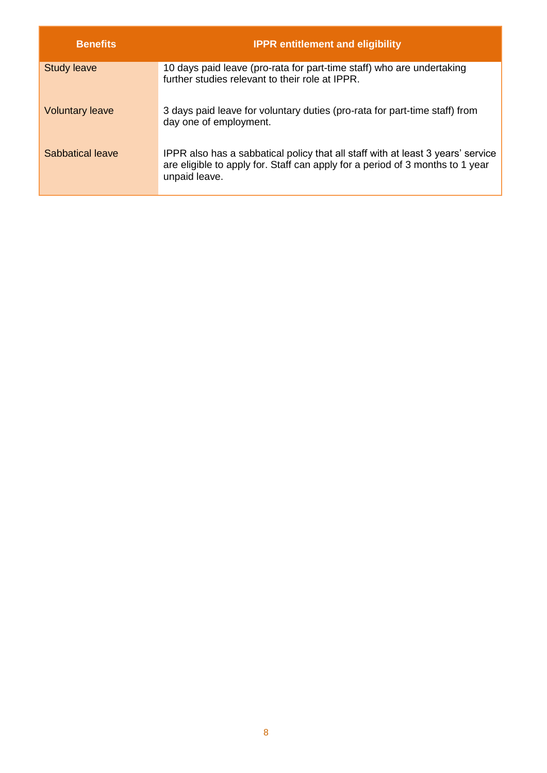| <b>Benefits</b>        | <b>IPPR entitlement and eligibility</b>                                                                                                                                           |
|------------------------|-----------------------------------------------------------------------------------------------------------------------------------------------------------------------------------|
| <b>Study leave</b>     | 10 days paid leave (pro-rata for part-time staff) who are undertaking<br>further studies relevant to their role at IPPR.                                                          |
| <b>Voluntary leave</b> | 3 days paid leave for voluntary duties (pro-rata for part-time staff) from<br>day one of employment.                                                                              |
| Sabbatical leave       | IPPR also has a sabbatical policy that all staff with at least 3 years' service<br>are eligible to apply for. Staff can apply for a period of 3 months to 1 year<br>unpaid leave. |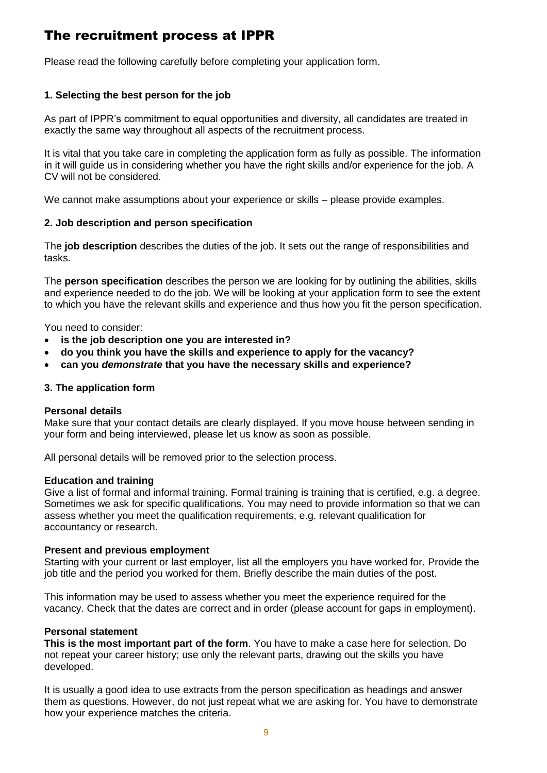# The recruitment process at IPPR

Please read the following carefully before completing your application form.

## **1. Selecting the best person for the job**

As part of IPPR's commitment to equal opportunities and diversity, all candidates are treated in exactly the same way throughout all aspects of the recruitment process.

It is vital that you take care in completing the application form as fully as possible. The information in it will guide us in considering whether you have the right skills and/or experience for the job. A CV will not be considered.

We cannot make assumptions about your experience or skills – please provide examples.

### **2. Job description and person specification**

The **job description** describes the duties of the job. It sets out the range of responsibilities and tasks.

The **person specification** describes the person we are looking for by outlining the abilities, skills and experience needed to do the job. We will be looking at your application form to see the extent to which you have the relevant skills and experience and thus how you fit the person specification.

You need to consider:

- **is the job description one you are interested in?**
- **do you think you have the skills and experience to apply for the vacancy?**
- **can you** *demonstrate* **that you have the necessary skills and experience?**

### **3. The application form**

### **Personal details**

Make sure that your contact details are clearly displayed. If you move house between sending in your form and being interviewed, please let us know as soon as possible.

All personal details will be removed prior to the selection process.

### **Education and training**

Give a list of formal and informal training. Formal training is training that is certified, e.g. a degree. Sometimes we ask for specific qualifications. You may need to provide information so that we can assess whether you meet the qualification requirements, e.g. relevant qualification for accountancy or research.

### **Present and previous employment**

Starting with your current or last employer, list all the employers you have worked for. Provide the job title and the period you worked for them. Briefly describe the main duties of the post.

This information may be used to assess whether you meet the experience required for the vacancy. Check that the dates are correct and in order (please account for gaps in employment).

### **Personal statement**

**This is the most important part of the form**. You have to make a case here for selection. Do not repeat your career history; use only the relevant parts, drawing out the skills you have developed.

It is usually a good idea to use extracts from the person specification as headings and answer them as questions. However, do not just repeat what we are asking for. You have to demonstrate how your experience matches the criteria.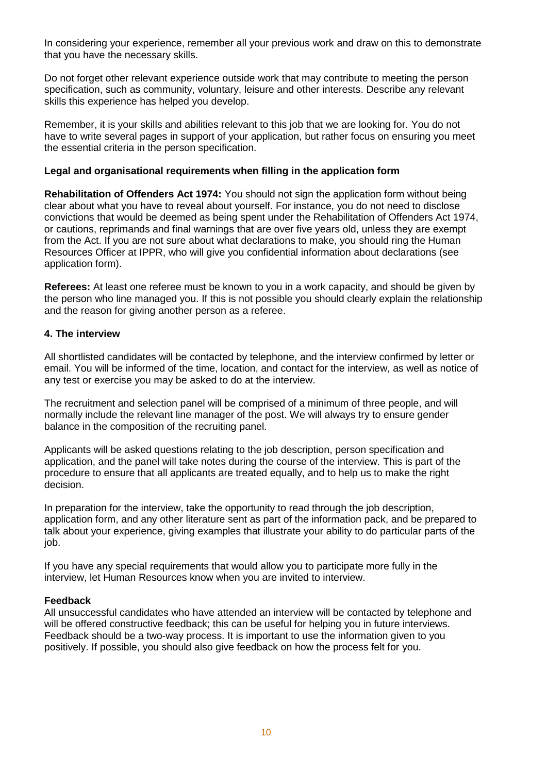In considering your experience, remember all your previous work and draw on this to demonstrate that you have the necessary skills.

Do not forget other relevant experience outside work that may contribute to meeting the person specification, such as community, voluntary, leisure and other interests. Describe any relevant skills this experience has helped you develop.

Remember, it is your skills and abilities relevant to this job that we are looking for. You do not have to write several pages in support of your application, but rather focus on ensuring you meet the essential criteria in the person specification.

#### **Legal and organisational requirements when filling in the application form**

**Rehabilitation of Offenders Act 1974:** You should not sign the application form without being clear about what you have to reveal about yourself. For instance, you do not need to disclose convictions that would be deemed as being spent under the Rehabilitation of Offenders Act 1974, or cautions, reprimands and final warnings that are over five years old, unless they are exempt from the Act. If you are not sure about what declarations to make, you should ring the Human Resources Officer at IPPR, who will give you confidential information about declarations (see application form).

**Referees:** At least one referee must be known to you in a work capacity, and should be given by the person who line managed you. If this is not possible you should clearly explain the relationship and the reason for giving another person as a referee.

#### **4. The interview**

All shortlisted candidates will be contacted by telephone, and the interview confirmed by letter or email. You will be informed of the time, location, and contact for the interview, as well as notice of any test or exercise you may be asked to do at the interview.

The recruitment and selection panel will be comprised of a minimum of three people, and will normally include the relevant line manager of the post. We will always try to ensure gender balance in the composition of the recruiting panel.

Applicants will be asked questions relating to the job description, person specification and application, and the panel will take notes during the course of the interview. This is part of the procedure to ensure that all applicants are treated equally, and to help us to make the right decision.

In preparation for the interview, take the opportunity to read through the job description, application form, and any other literature sent as part of the information pack, and be prepared to talk about your experience, giving examples that illustrate your ability to do particular parts of the job.

If you have any special requirements that would allow you to participate more fully in the interview, let Human Resources know when you are invited to interview.

#### **Feedback**

All unsuccessful candidates who have attended an interview will be contacted by telephone and will be offered constructive feedback; this can be useful for helping you in future interviews. Feedback should be a two-way process. It is important to use the information given to you positively. If possible, you should also give feedback on how the process felt for you.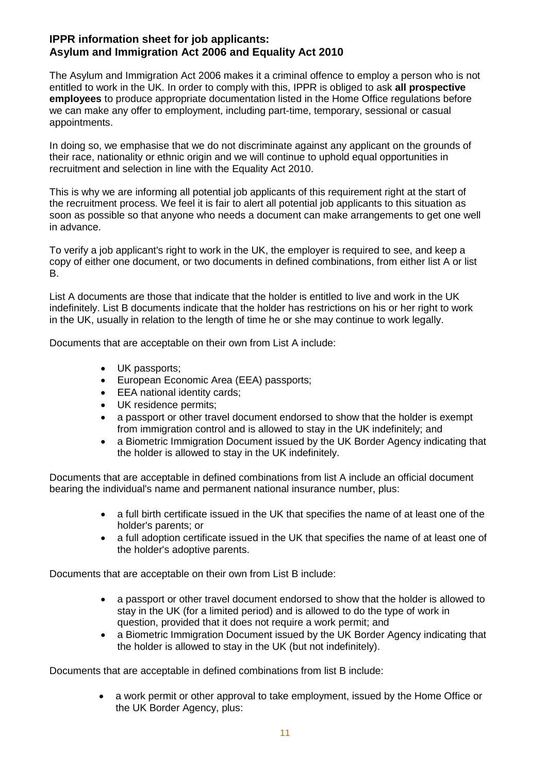### **IPPR information sheet for job applicants: Asylum and Immigration Act 2006 and Equality Act 2010**

The Asylum and Immigration Act 2006 makes it a criminal offence to employ a person who is not entitled to work in the UK. In order to comply with this, IPPR is obliged to ask **all prospective employees** to produce appropriate documentation listed in the Home Office regulations before we can make any offer to employment, including part-time, temporary, sessional or casual appointments.

In doing so, we emphasise that we do not discriminate against any applicant on the grounds of their race, nationality or ethnic origin and we will continue to uphold equal opportunities in recruitment and selection in line with the Equality Act 2010.

This is why we are informing all potential job applicants of this requirement right at the start of the recruitment process. We feel it is fair to alert all potential job applicants to this situation as soon as possible so that anyone who needs a document can make arrangements to get one well in advance.

To verify a job applicant's right to work in the UK, the employer is required to see, and keep a copy of either one document, or two documents in defined combinations, from either list A or list B.

List A documents are those that indicate that the holder is entitled to live and work in the UK indefinitely. List B documents indicate that the holder has restrictions on his or her right to work in the UK, usually in relation to the length of time he or she may continue to work legally.

Documents that are acceptable on their own from List A include:

- UK passports:
- European Economic Area (EEA) passports;
- EEA national identity cards;
- UK residence permits;
- a passport or other travel document endorsed to show that the holder is exempt from immigration control and is allowed to stay in the UK indefinitely; and
- a Biometric Immigration Document issued by the UK Border Agency indicating that the holder is allowed to stay in the UK indefinitely.

Documents that are acceptable in defined combinations from list A include an official document bearing the individual's name and permanent national insurance number, plus:

- a full birth certificate issued in the UK that specifies the name of at least one of the holder's parents; or
- a full adoption certificate issued in the UK that specifies the name of at least one of the holder's adoptive parents.

Documents that are acceptable on their own from List B include:

- a passport or other travel document endorsed to show that the holder is allowed to stay in the UK (for a limited period) and is allowed to do the type of work in question, provided that it does not require a work permit; and
- a Biometric Immigration Document issued by the UK Border Agency indicating that the holder is allowed to stay in the UK (but not indefinitely).

Documents that are acceptable in defined combinations from list B include:

 a work permit or other approval to take employment, issued by the Home Office or the UK Border Agency, plus: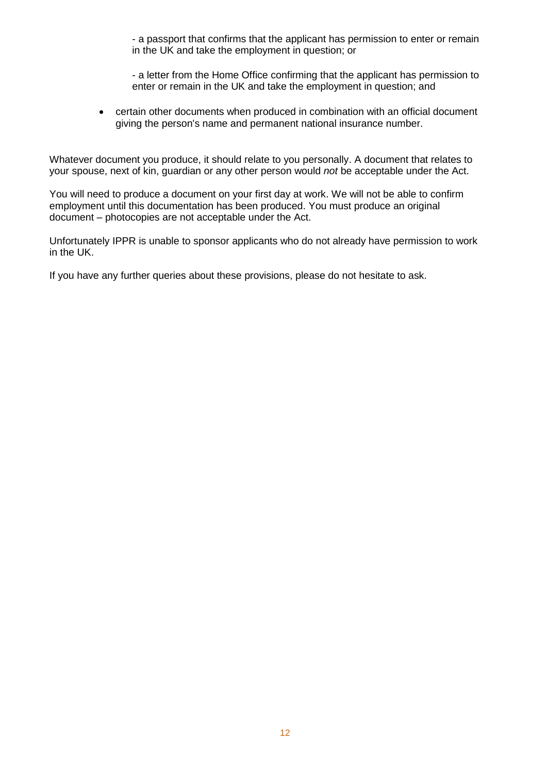- a passport that confirms that the applicant has permission to enter or remain in the UK and take the employment in question; or

- a letter from the Home Office confirming that the applicant has permission to enter or remain in the UK and take the employment in question; and

 certain other documents when produced in combination with an official document giving the person's name and permanent national insurance number.

Whatever document you produce, it should relate to you personally. A document that relates to your spouse, next of kin, guardian or any other person would *not* be acceptable under the Act.

You will need to produce a document on your first day at work. We will not be able to confirm employment until this documentation has been produced. You must produce an original document – photocopies are not acceptable under the Act.

Unfortunately IPPR is unable to sponsor applicants who do not already have permission to work in the UK.

If you have any further queries about these provisions, please do not hesitate to ask.